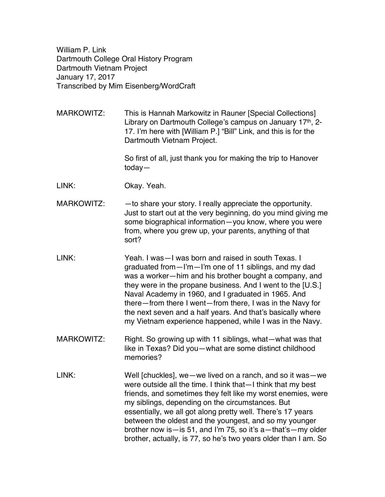William P. Link Dartmouth College Oral History Program Dartmouth Vietnam Project January 17, 2017 Transcribed by Mim Eisenberg/WordCraft

MARKOWITZ: This is Hannah Markowitz in Rauner [Special Collections] Library on Dartmouth College's campus on January  $17<sup>th</sup>$ , 2-17. I'm here with [William P.] "Bill" Link, and this is for the Dartmouth Vietnam Project.

> So first of all, just thank you for making the trip to Hanover today—

- LINK: Okay. Yeah.
- $MARKOWITZ:$  -to share your story. I really appreciate the opportunity. Just to start out at the very beginning, do you mind giving me some biographical information—you know, where you were from, where you grew up, your parents, anything of that sort?
- LINK: Yeah. I was—I was born and raised in south Texas. I graduated from—I'm—I'm one of 11 siblings, and my dad was a worker—him and his brother bought a company, and they were in the propane business. And I went to the [U.S.] Naval Academy in 1960, and I graduated in 1965. And there—from there I went—from there, I was in the Navy for the next seven and a half years. And that's basically where my Vietnam experience happened, while I was in the Navy.
- MARKOWITZ: Right. So growing up with 11 siblings, what—what was that like in Texas? Did you—what are some distinct childhood memories?
- LINK: Well [chuckles], we—we lived on a ranch, and so it was—we were outside all the time. I think that—I think that my best friends, and sometimes they felt like my worst enemies, were my siblings, depending on the circumstances. But essentially, we all got along pretty well. There's 17 years between the oldest and the youngest, and so my younger brother now is—is 51, and I'm 75, so it's a—that's—my older brother, actually, is 77, so he's two years older than I am. So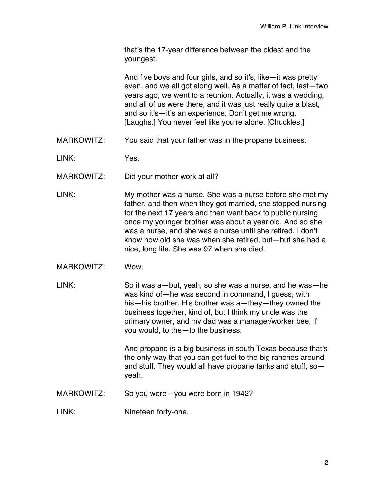that's the 17-year difference between the oldest and the youngest.

And five boys and four girls, and so it's, like—it was pretty even, and we all got along well. As a matter of fact, last—two years ago, we went to a reunion. Actually, it was a wedding, and all of us were there, and it was just really quite a blast, and so it's—it's an experience. Don't get me wrong. [Laughs.] You never feel like you're alone. [Chuckles.]

MARKOWITZ: You said that your father was in the propane business.

LINK: Yes.

MARKOWITZ: Did your mother work at all?

- LINK: My mother was a nurse. She was a nurse before she met my father, and then when they got married, she stopped nursing for the next 17 years and then went back to public nursing once my younger brother was about a year old. And so she was a nurse, and she was a nurse until she retired. I don't know how old she was when she retired, but—but she had a nice, long life. She was 97 when she died.
- MARKOWITZ: Wow.
- LINK: So it was a—but, yeah, so she was a nurse, and he was—he was kind of—he was second in command, I guess, with his—his brother. His brother was a—they—they owned the business together, kind of, but I think my uncle was the primary owner, and my dad was a manager/worker bee, if you would, to the—to the business.

And propane is a big business in south Texas because that's the only way that you can get fuel to the big ranches around and stuff. They would all have propane tanks and stuff, so yeah.

MARKOWITZ: So you were—you were born in 1942?'

LINK: Nineteen forty-one.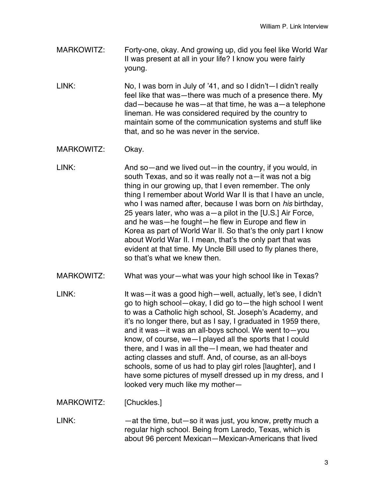MARKOWITZ: Forty-one, okay. And growing up, did you feel like World War II was present at all in your life? I know you were fairly young.

LINK: No, I was born in July of '41, and so I didn't—I didn't really feel like that was—there was much of a presence there. My dad—because he was—at that time, he was a—a telephone lineman. He was considered required by the country to maintain some of the communication systems and stuff like that, and so he was never in the service.

MARKOWITZ: Okay.

LINK: And so—and we lived out—in the country, if you would, in south Texas, and so it was really not a—it was not a big thing in our growing up, that I even remember. The only thing I remember about World War II is that I have an uncle, who I was named after, because I was born on *his* birthday, 25 years later, who was a—a pilot in the [U.S.] Air Force, and he was—he fought—he flew in Europe and flew in Korea as part of World War II. So that's the only part I know about World War II. I mean, that's the only part that was evident at that time. My Uncle Bill used to fly planes there, so that's what we knew then.

- MARKOWITZ: What was your—what was your high school like in Texas?
- LINK: It was—it was a good high—well, actually, let's see, I didn't go to high school—okay, I did go to—the high school I went to was a Catholic high school, St. Joseph's Academy, and it's no longer there, but as I say, I graduated in 1959 there, and it was—it was an all-boys school. We went to—you know, of course, we—I played all the sports that I could there, and I was in all the—I mean, we had theater and acting classes and stuff. And, of course, as an all-boys schools, some of us had to play girl roles [laughter], and I have some pictures of myself dressed up in my dress, and I looked very much like my mother—

MARKOWITZ: [Chuckles.]

 $LINK:$  -at the time, but—so it was just, you know, pretty much a regular high school. Being from Laredo, Texas, which is about 96 percent Mexican—Mexican-Americans that lived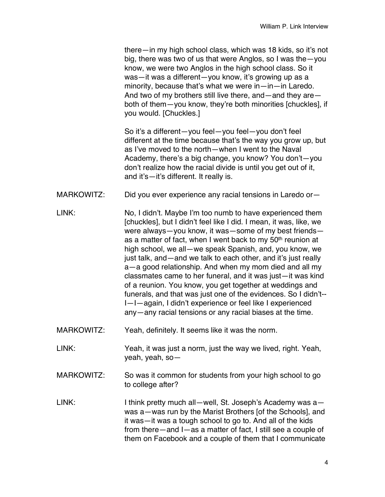there—in my high school class, which was 18 kids, so it's not big, there was two of us that were Anglos, so I was the—you know, we were two Anglos in the high school class. So it was—it was a different—you know, it's growing up as a minority, because that's what we were in—in—in Laredo. And two of my brothers still live there, and—and they are both of them—you know, they're both minorities [chuckles], if you would. [Chuckles.]

So it's a different—you feel—you feel—you don't feel different at the time because that's the way you grow up, but as I've moved to the north—when I went to the Naval Academy, there's a big change, you know? You don't—you don't realize how the racial divide is until you get out of it, and it's—it's different. It really is.

- MARKOWITZ: Did you ever experience any racial tensions in Laredo or-
- LINK: No, I didn't. Maybe I'm too numb to have experienced them [chuckles], but I didn't feel like I did. I mean, it was, like, we were always—you know, it was—some of my best friends as a matter of fact, when I went back to my 50<sup>th</sup> reunion at high school, we all—we speak Spanish, and, you know, we just talk, and—and we talk to each other, and it's just really a—a good relationship. And when my mom died and all my classmates came to her funeral, and it was just—it was kind of a reunion. You know, you get together at weddings and funerals, and that was just one of the evidences. So I didn't-- I—I—again, I didn't experience or feel like I experienced any—any racial tensions or any racial biases at the time.
- MARKOWITZ: Yeah, definitely. It seems like it was the norm.
- LINK: Yeah, it was just a norm, just the way we lived, right. Yeah, yeah, yeah, so—
- MARKOWITZ: So was it common for students from your high school to go to college after?
- LINK: I think pretty much all—well, St. Joseph's Academy was a was a—was run by the Marist Brothers [of the Schools], and it was—it was a tough school to go to. And all of the kids from there—and I—as a matter of fact, I still see a couple of them on Facebook and a couple of them that I communicate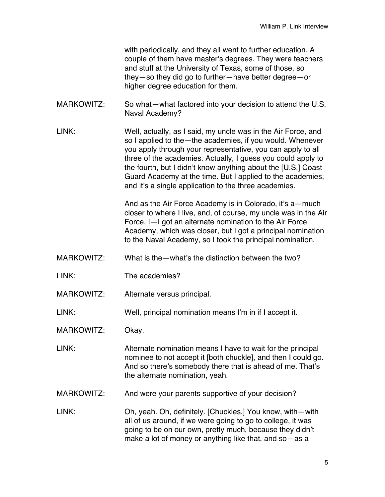with periodically, and they all went to further education. A couple of them have master's degrees. They were teachers and stuff at the University of Texas, some of those, so they—so they did go to further—have better degree—or higher degree education for them.

- MARKOWITZ: So what—what factored into your decision to attend the U.S. Naval Academy?
- LINK: Well, actually, as I said, my uncle was in the Air Force, and so I applied to the—the academies, if you would. Whenever you apply through your representative, you can apply to all three of the academies. Actually, I guess you could apply to the fourth, but I didn't know anything about the [U.S.] Coast Guard Academy at the time. But I applied to the academies, and it's a single application to the three academies.

And as the Air Force Academy is in Colorado, it's a—much closer to where I live, and, of course, my uncle was in the Air Force. I—I got an alternate nomination to the Air Force Academy, which was closer, but I got a principal nomination to the Naval Academy, so I took the principal nomination.

- MARKOWITZ: What is the—what's the distinction between the two?
- LINK: The academies?
- MARKOWITZ: Alternate versus principal.
- LINK: Well, principal nomination means I'm in if I accept it.
- MARKOWITZ: Okay.
- LINK: Alternate nomination means I have to wait for the principal nominee to not accept it [both chuckle], and then I could go. And so there's somebody there that is ahead of me. That's the alternate nomination, yeah.
- MARKOWITZ: And were your parents supportive of your decision?
- LINK: Oh, yeah. Oh, definitely. [Chuckles.] You know, with—with all of us around, if we were going to go to college, it was going to be on our own, pretty much, because they didn't make a lot of money or anything like that, and so—as a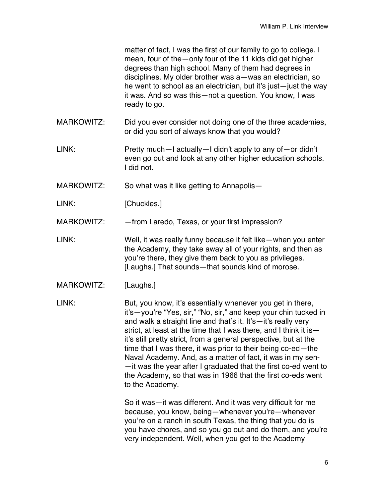matter of fact, I was the first of our family to go to college. I mean, four of the—only four of the 11 kids did get higher degrees than high school. Many of them had degrees in disciplines. My older brother was a—was an electrician, so he went to school as an electrician, but it's just—just the way it was. And so was this—not a question. You know, I was ready to go.

- MARKOWITZ: Did you ever consider not doing one of the three academies, or did you sort of always know that you would?
- LINK: Pretty much—I actually—I didn't apply to any of—or didn't even go out and look at any other higher education schools. I did not.
- MARKOWITZ: So what was it like getting to Annapolis—

LINK: [Chuckles.]

MARKOWITZ: - — from Laredo, Texas, or your first impression?

- LINK: Well, it was really funny because it felt like—when you enter the Academy, they take away all of your rights, and then as you're there, they give them back to you as privileges. [Laughs.] That sounds—that sounds kind of morose.
- MARKOWITZ: [Laughs.]

LINK: But, you know, it's essentially whenever you get in there, it's—you're "Yes, sir," "No, sir," and keep your chin tucked in and walk a straight line and that's it. It's—it's really very strict, at least at the time that I was there, and I think it is it's still pretty strict, from a general perspective, but at the time that I was there, it was prior to their being co-ed—the Naval Academy. And, as a matter of fact, it was in my sen- —it was the year after I graduated that the first co-ed went to the Academy, so that was in 1966 that the first co-eds went to the Academy.

> So it was—it was different. And it was very difficult for me because, you know, being—whenever you're—whenever you're on a ranch in south Texas, the thing that you do is you have chores, and so you go out and do them, and you're very independent. Well, when you get to the Academy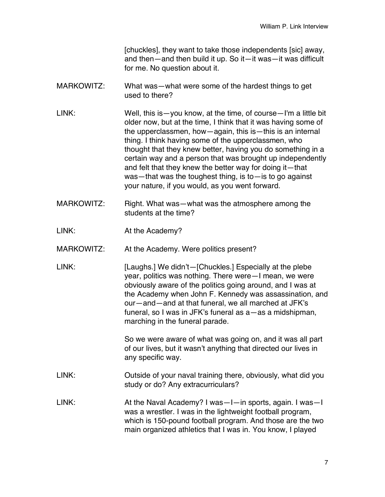[chuckles], they want to take those independents [sic] away, and then—and then build it up. So it—it was—it was difficult for me. No question about it.

- MARKOWITZ: What was—what were some of the hardest things to get used to there?
- LINK: Well, this is—you know, at the time, of course—I'm a little bit older now, but at the time, I think that it was having some of the upperclassmen, how—again, this is—this is an internal thing. I think having some of the upperclassmen, who thought that they knew better, having you do something in a certain way and a person that was brought up independently and felt that they knew the better way for doing it—that was—that was the toughest thing, is to—is to go against your nature, if you would, as you went forward.
- MARKOWITZ: Right. What was—what was the atmosphere among the students at the time?
- LINK: At the Academy?
- MARKOWITZ: At the Academy. Were politics present?
- LINK: [Laughs.] We didn't—[Chuckles.] Especially at the plebe year, politics was nothing. There were—I mean, we were obviously aware of the politics going around, and I was at the Academy when John F. Kennedy was assassination, and our—and—and at that funeral, we all marched at JFK's funeral, so I was in JFK's funeral as a—as a midshipman, marching in the funeral parade.

So we were aware of what was going on, and it was all part of our lives, but it wasn't anything that directed our lives in any specific way.

- LINK: Outside of your naval training there, obviously, what did you study or do? Any extracurriculars?
- LINK: At the Naval Academy? I was—I—in sports, again. I was—I was a wrestler. I was in the lightweight football program, which is 150-pound football program. And those are the two main organized athletics that I was in. You know, I played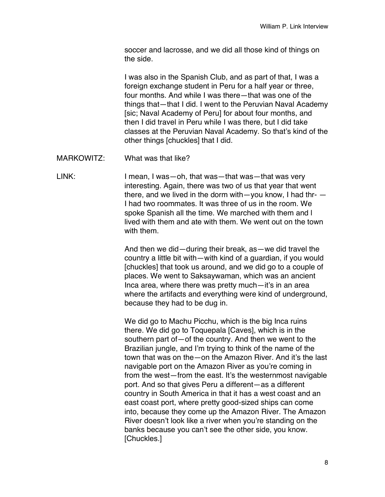soccer and lacrosse, and we did all those kind of things on the side.

I was also in the Spanish Club, and as part of that, I was a foreign exchange student in Peru for a half year or three, four months. And while I was there—that was one of the things that—that I did. I went to the Peruvian Naval Academy [sic; Naval Academy of Peru] for about four months, and then I did travel in Peru while I was there, but I did take classes at the Peruvian Naval Academy. So that's kind of the other things [chuckles] that I did.

MARKOWITZ: What was that like?

LINK: I mean, I was—oh, that was—that was—that was very interesting. Again, there was two of us that year that went there, and we lived in the dorm with—you know, I had thr-  $-$ I had two roommates. It was three of us in the room. We spoke Spanish all the time. We marched with them and l lived with them and ate with them. We went out on the town with them.

> And then we did—during their break, as—we did travel the country a little bit with—with kind of a guardian, if you would [chuckles] that took us around, and we did go to a couple of places. We went to Saksaywaman, which was an ancient Inca area, where there was pretty much—it's in an area where the artifacts and everything were kind of underground, because they had to be dug in.

> We did go to Machu Picchu, which is the big Inca ruins there. We did go to Toquepala [Caves], which is in the southern part of—of the country. And then we went to the Brazilian jungle, and I'm trying to think of the name of the town that was on the—on the Amazon River. And it's the last navigable port on the Amazon River as you're coming in from the west—from the east. It's the westernmost navigable port. And so that gives Peru a different—as a different country in South America in that it has a west coast and an east coast port, where pretty good-sized ships can come into, because they come up the Amazon River. The Amazon River doesn't look like a river when you're standing on the banks because you can't see the other side, you know. [Chuckles.]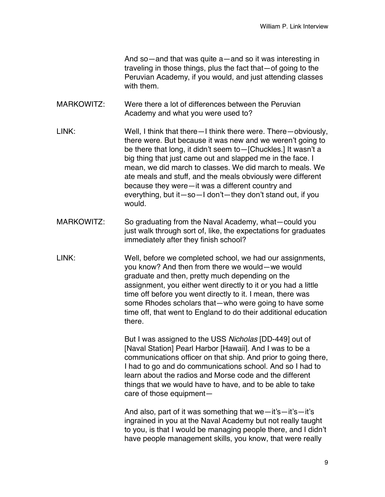And so—and that was quite a—and so it was interesting in traveling in those things, plus the fact that—of going to the Peruvian Academy, if you would, and just attending classes with them.

- MARKOWITZ: Were there a lot of differences between the Peruvian Academy and what you were used to?
- LINK: Well, I think that there—I think there were. There—obviously, there were. But because it was new and we weren't going to be there that long, it didn't seem to—[Chuckles.] It wasn't a big thing that just came out and slapped me in the face. I mean, we did march to classes. We did march to meals. We ate meals and stuff, and the meals obviously were different because they were—it was a different country and everything, but it—so—I don't—they don't stand out, if you would.
- MARKOWITZ: So graduating from the Naval Academy, what—could you just walk through sort of, like, the expectations for graduates immediately after they finish school?
- LINK: Well, before we completed school, we had our assignments, you know? And then from there we would—we would graduate and then, pretty much depending on the assignment, you either went directly to it or you had a little time off before you went directly to it. I mean, there was some Rhodes scholars that—who were going to have some time off, that went to England to do their additional education there.

But I was assigned to the USS *Nicholas* [DD-449] out of [Naval Station] Pearl Harbor [Hawaii]. And I was to be a communications officer on that ship. And prior to going there, I had to go and do communications school. And so I had to learn about the radios and Morse code and the different things that we would have to have, and to be able to take care of those equipment—

And also, part of it was something that we—it's—it's—it's ingrained in you at the Naval Academy but not really taught to you, is that I would be managing people there, and I didn't have people management skills, you know, that were really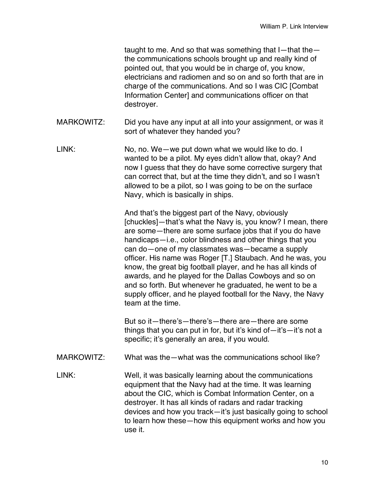taught to me. And so that was something that I—that the the communications schools brought up and really kind of pointed out, that you would be in charge of, you know, electricians and radiomen and so on and so forth that are in charge of the communications. And so I was CIC [Combat Information Center] and communications officer on that destroyer.

- MARKOWITZ: Did you have any input at all into your assignment, or was it sort of whatever they handed you?
- LINK: No, no. We—we put down what we would like to do. I wanted to be a pilot. My eyes didn't allow that, okay? And now I guess that they do have some corrective surgery that can correct that, but at the time they didn't, and so I wasn't allowed to be a pilot, so I was going to be on the surface Navy, which is basically in ships.

And that's the biggest part of the Navy, obviously [chuckles]—that's what the Navy is, you know? I mean, there are some—there are some surface jobs that if you do have handicaps—i.e., color blindness and other things that you can do—one of my classmates was—became a supply officer. His name was Roger [T.] Staubach. And he was, you know, the great big football player, and he has all kinds of awards, and he played for the Dallas Cowboys and so on and so forth. But whenever he graduated, he went to be a supply officer, and he played football for the Navy, the Navy team at the time.

But so it—there's—there's—there are—there are some things that you can put in for, but it's kind of—it's—it's not a specific; it's generally an area, if you would.

- MARKOWITZ: What was the—what was the communications school like?
- LINK: Well, it was basically learning about the communications equipment that the Navy had at the time. It was learning about the CIC, which is Combat Information Center, on a destroyer. It has all kinds of radars and radar tracking devices and how you track—it's just basically going to school to learn how these—how this equipment works and how you use it.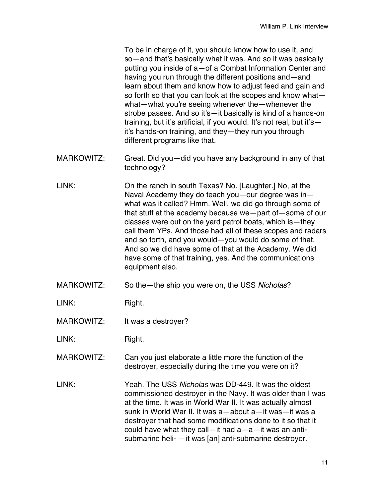To be in charge of it, you should know how to use it, and so—and that's basically what it was. And so it was basically putting you inside of a—of a Combat Information Center and having you run through the different positions and—and learn about them and know how to adjust feed and gain and so forth so that you can look at the scopes and know what what—what you're seeing whenever the—whenever the strobe passes. And so it's—it basically is kind of a hands-on training, but it's artificial, if you would. It's not real, but it's it's hands-on training, and they—they run you through different programs like that.

- MARKOWITZ: Great. Did you—did you have any background in any of that technology?
- LINK: On the ranch in south Texas? No. [Laughter.] No, at the Naval Academy they do teach you—our degree was in what was it called? Hmm. Well, we did go through some of that stuff at the academy because we—part of—some of our classes were out on the yard patrol boats, which is—they call them YPs. And those had all of these scopes and radars and so forth, and you would—you would do some of that. And so we did have some of that at the Academy. We did have some of that training, yes. And the communications equipment also.
- MARKOWITZ: So the—the ship you were on, the USS *Nicholas*?

LINK: Right.

MARKOWITZ: It was a destroyer?

LINK: Right.

MARKOWITZ: Can you just elaborate a little more the function of the destroyer, especially during the time you were on it?

LINK: Yeah. The USS *Nicholas* was DD-449. It was the oldest commissioned destroyer in the Navy. It was older than I was at the time. It was in World War II. It was actually almost sunk in World War II. It was a—about a—it was—it was a destroyer that had some modifications done to it so that it could have what they call—it had a—a—it was an antisubmarine heli- —it was [an] anti-submarine destroyer.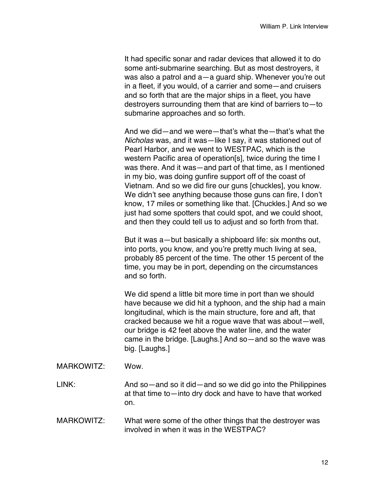It had specific sonar and radar devices that allowed it to do some anti-submarine searching. But as most destroyers, it was also a patrol and a—a guard ship. Whenever you're out in a fleet, if you would, of a carrier and some—and cruisers and so forth that are the major ships in a fleet, you have destroyers surrounding them that are kind of barriers to—to submarine approaches and so forth.

And we did—and we were—that's what the—that's what the *Nicholas* was, and it was—like I say, it was stationed out of Pearl Harbor, and we went to WESTPAC, which is the western Pacific area of operation[s], twice during the time I was there. And it was—and part of that time, as I mentioned in my bio, was doing gunfire support off of the coast of Vietnam. And so we did fire our guns [chuckles], you know. We didn't see anything because those guns can fire, I don't know, 17 miles or something like that. [Chuckles.] And so we just had some spotters that could spot, and we could shoot, and then they could tell us to adjust and so forth from that.

But it was a—but basically a shipboard life: six months out, into ports, you know, and you're pretty much living at sea, probably 85 percent of the time. The other 15 percent of the time, you may be in port, depending on the circumstances and so forth.

We did spend a little bit more time in port than we should have because we did hit a typhoon, and the ship had a main longitudinal, which is the main structure, fore and aft, that cracked because we hit a rogue wave that was about—well, our bridge is 42 feet above the water line, and the water came in the bridge. [Laughs.] And so—and so the wave was big. [Laughs.]

MARKOWITZ: Wow.

LINK: And so—and so it did—and so we did go into the Philippines at that time to—into dry dock and have to have that worked on.

MARKOWITZ: What were some of the other things that the destroyer was involved in when it was in the WESTPAC?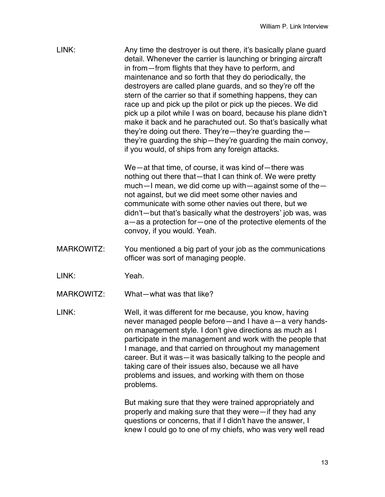LINK: Any time the destroyer is out there, it's basically plane guard detail. Whenever the carrier is launching or bringing aircraft in from—from flights that they have to perform, and maintenance and so forth that they do periodically, the destroyers are called plane guards, and so they're off the stern of the carrier so that if something happens, they can race up and pick up the pilot or pick up the pieces. We did pick up a pilot while I was on board, because his plane didn't make it back and he parachuted out. So that's basically what they're doing out there. They're—they're guarding the they're guarding the ship—they're guarding the main convoy, if you would, of ships from any foreign attacks.

> We—at that time, of course, it was kind of—there was nothing out there that—that I can think of. We were pretty much—I mean, we did come up with—against some of the not against, but we did meet some other navies and communicate with some other navies out there, but we didn't—but that's basically what the destroyers' job was, was a—as a protection for—one of the protective elements of the convoy, if you would. Yeah.

MARKOWITZ: You mentioned a big part of your job as the communications officer was sort of managing people.

LINK: Yeah.

MARKOWITZ: What-what was that like?

LINK: Well, it was different for me because, you know, having never managed people before—and I have a—a very handson management style. I don't give directions as much as I participate in the management and work with the people that I manage, and that carried on throughout my management career. But it was—it was basically talking to the people and taking care of their issues also, because we all have problems and issues, and working with them on those problems.

> But making sure that they were trained appropriately and properly and making sure that they were—if they had any questions or concerns, that if I didn't have the answer, I knew I could go to one of my chiefs, who was very well read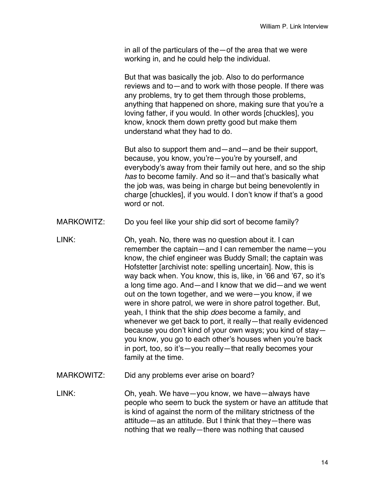in all of the particulars of the—of the area that we were working in, and he could help the individual.

But that was basically the job. Also to do performance reviews and to—and to work with those people. If there was any problems, try to get them through those problems, anything that happened on shore, making sure that you're a loving father, if you would. In other words [chuckles], you know, knock them down pretty good but make them understand what they had to do.

But also to support them and—and—and be their support, because, you know, you're—you're by yourself, and everybody's away from their family out here, and so the ship *has* to become family. And so it—and that's basically what the job was, was being in charge but being benevolently in charge [chuckles], if you would. I don't know if that's a good word or not.

- MARKOWITZ: Do you feel like your ship did sort of become family?
- LINK: Oh, yeah. No, there was no question about it. I can remember the captain—and I can remember the name—you know, the chief engineer was Buddy Small; the captain was Hofstetter [archivist note: spelling uncertain]. Now, this is way back when. You know, this is, like, in '66 and '67, so it's a long time ago. And—and I know that we did—and we went out on the town together, and we were—you know, if we were in shore patrol, we were in shore patrol together. But, yeah, I think that the ship *does* become a family, and whenever we get back to port, it really—that really evidenced because you don't kind of your own ways; you kind of stay you know, you go to each other's houses when you're back in port, too, so it's—you really—that really becomes your family at the time.
- MARKOWITZ: Did any problems ever arise on board?

LINK: Oh, yeah. We have—you know, we have—always have people who seem to buck the system or have an attitude that is kind of against the norm of the military strictness of the attitude—as an attitude. But I think that they—there was nothing that we really—there was nothing that caused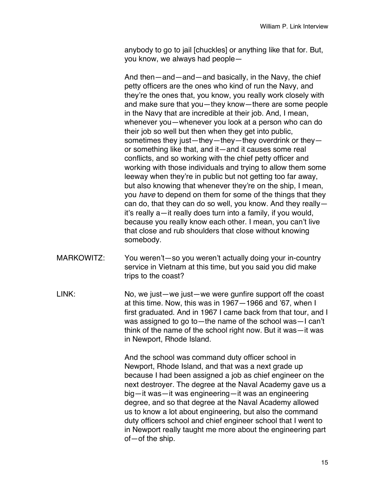anybody to go to jail [chuckles] or anything like that for. But, you know, we always had people—

And then—and—and—and basically, in the Navy, the chief petty officers are the ones who kind of run the Navy, and they're the ones that, you know, you really work closely with and make sure that you—they know—there are some people in the Navy that are incredible at their job. And, I mean, whenever you—whenever you look at a person who can do their job so well but then when they get into public, sometimes they just—they—they—they overdrink or they or something like that, and it—and it causes some real conflicts, and so working with the chief petty officer and working with those individuals and trying to allow them some leeway when they're in public but not getting too far away, but also knowing that whenever they're on the ship, I mean, you *have* to depend on them for some of the things that they can do, that they can do so well, you know. And they really it's really a—it really does turn into a family, if you would, because you really know each other. I mean, you can't live that close and rub shoulders that close without knowing somebody.

- MARKOWITZ: You weren't—so you weren't actually doing your in-country service in Vietnam at this time, but you said you did make trips to the coast?
- LINK: No, we just—we just—we were qunfire support off the coast at this time. Now, this was in 1967—1966 and '67, when I first graduated. And in 1967 I came back from that tour, and I was assigned to go to—the name of the school was—I can't think of the name of the school right now. But it was—it was in Newport, Rhode Island.

And the school was command duty officer school in Newport, Rhode Island, and that was a next grade up because I had been assigned a job as chief engineer on the next destroyer. The degree at the Naval Academy gave us a big—it was—it was engineering—it was an engineering degree, and so that degree at the Naval Academy allowed us to know a lot about engineering, but also the command duty officers school and chief engineer school that I went to in Newport really taught me more about the engineering part of—of the ship.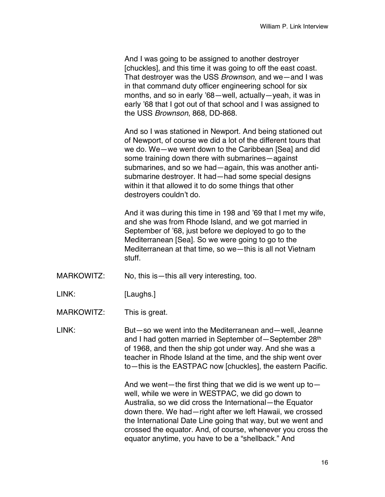And I was going to be assigned to another destroyer [chuckles], and this time it was going to off the east coast. That destroyer was the USS *Brownson*, and we—and I was in that command duty officer engineering school for six months, and so in early '68—well, actually—yeah, it was in early '68 that I got out of that school and I was assigned to the USS *Brownson*, 868, DD-868.

And so I was stationed in Newport. And being stationed out of Newport, of course we did a lot of the different tours that we do. We—we went down to the Caribbean [Sea] and did some training down there with submarines—against submarines, and so we had—again, this was another antisubmarine destroyer. It had—had some special designs within it that allowed it to do some things that other destroyers couldn't do.

And it was during this time in 198 and '69 that I met my wife, and she was from Rhode Island, and we got married in September of '68, just before we deployed to go to the Mediterranean [Sea]. So we were going to go to the Mediterranean at that time, so we—this is all not Vietnam stuff.

- MARKOWITZ: No, this is—this all very interesting, too.
- LINK: [Laughs.]

MARKOWITZ: This is great.

LINK: But—so we went into the Mediterranean and—well, Jeanne and I had gotten married in September of - September 28<sup>th</sup> of 1968, and then the ship got under way. And she was a teacher in Rhode Island at the time, and the ship went over to—this is the EASTPAC now [chuckles], the eastern Pacific.

> And we went—the first thing that we did is we went up to well, while we were in WESTPAC, we did go down to Australia, so we did cross the International—the Equator down there. We had—right after we left Hawaii, we crossed the International Date Line going that way, but we went and crossed the equator. And, of course, whenever you cross the equator anytime, you have to be a "shellback." And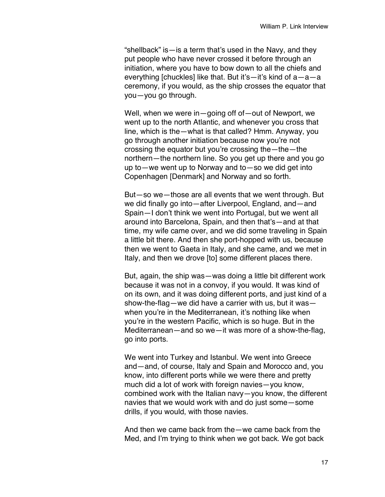"shellback" is—is a term that's used in the Navy, and they put people who have never crossed it before through an initiation, where you have to bow down to all the chiefs and everything [chuckles] like that. But it's—it's kind of a—a—a ceremony, if you would, as the ship crosses the equator that you—you go through.

Well, when we were in—going off of—out of Newport, we went up to the north Atlantic, and whenever you cross that line, which is the—what is that called? Hmm. Anyway, you go through another initiation because now you're not crossing the equator but you're crossing the—the—the northern—the northern line. So you get up there and you go up to—we went up to Norway and to—so we did get into Copenhagen [Denmark] and Norway and so forth.

But—so we—those are all events that we went through. But we did finally go into—after Liverpool, England, and—and Spain—I don't think we went into Portugal, but we went all around into Barcelona, Spain, and then that's—and at that time, my wife came over, and we did some traveling in Spain a little bit there. And then she port-hopped with us, because then we went to Gaeta in Italy, and she came, and we met in Italy, and then we drove [to] some different places there.

But, again, the ship was—was doing a little bit different work because it was not in a convoy, if you would. It was kind of on its own, and it was doing different ports, and just kind of a show-the-flag—we did have a carrier with us, but it was when you're in the Mediterranean, it's nothing like when you're in the western Pacific, which is so huge. But in the Mediterranean—and so we—it was more of a show-the-flag, go into ports.

We went into Turkey and Istanbul. We went into Greece and—and, of course, Italy and Spain and Morocco and, you know, into different ports while we were there and pretty much did a lot of work with foreign navies—you know, combined work with the Italian navy—you know, the different navies that we would work with and do just some—some drills, if you would, with those navies.

And then we came back from the—we came back from the Med, and I'm trying to think when we got back. We got back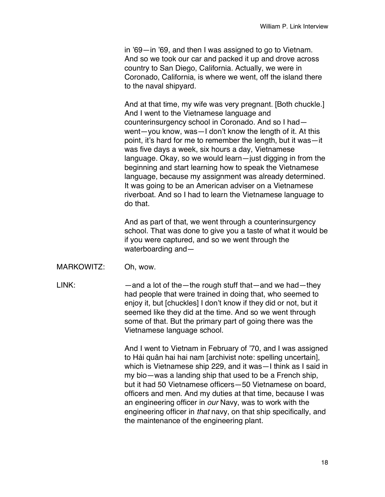in '69—in '69, and then I was assigned to go to Vietnam. And so we took our car and packed it up and drove across country to San Diego, California. Actually, we were in Coronado, California, is where we went, off the island there to the naval shipyard.

And at that time, my wife was very pregnant. [Both chuckle.] And I went to the Vietnamese language and counterinsurgency school in Coronado. And so I had went—you know, was—I don't know the length of it. At this point, it's hard for me to remember the length, but it was—it was five days a week, six hours a day, Vietnamese language. Okay, so we would learn—just digging in from the beginning and start learning how to speak the Vietnamese language, because my assignment was already determined. It was going to be an American adviser on a Vietnamese riverboat. And so I had to learn the Vietnamese language to do that.

And as part of that, we went through a counterinsurgency school. That was done to give you a taste of what it would be if you were captured, and so we went through the waterboarding and—

MARKOWITZ: Oh, wow.

LINK: — — and a lot of the — the rough stuff that — and we had—they had people that were trained in doing that, who seemed to enjoy it, but [chuckles] I don't know if they did or not, but it seemed like they did at the time. And so we went through some of that. But the primary part of going there was the Vietnamese language school.

> And I went to Vietnam in February of '70, and I was assigned to Hải quân hai hai nam [archivist note: spelling uncertain], which is Vietnamese ship 229, and it was—I think as I said in my bio—was a landing ship that used to be a French ship, but it had 50 Vietnamese officers—50 Vietnamese on board, officers and men. And my duties at that time, because I was an engineering officer in *our* Navy, was to work with the engineering officer in *that* navy, on that ship specifically, and the maintenance of the engineering plant.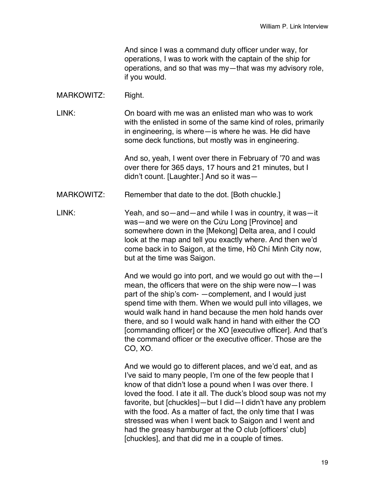And since I was a command duty officer under way, for operations, I was to work with the captain of the ship for operations, and so that was my—that was my advisory role, if you would.

## MARKOWITZ: Right.

LINK: On board with me was an enlisted man who was to work with the enlisted in some of the same kind of roles, primarily in engineering, is where—is where he was. He did have some deck functions, but mostly was in engineering.

> And so, yeah, I went over there in February of '70 and was over there for 365 days, 17 hours and 21 minutes, but I didn't count. [Laughter.] And so it was—

MARKOWITZ: Remember that date to the dot. [Both chuckle.]

LINK: Yeah, and so—and—and while I was in country, it was—it was—and we were on the Cửu Long [Province] and somewhere down in the [Mekong] Delta area, and I could look at the map and tell you exactly where. And then we'd come back in to Saigon, at the time, Hồ Chí Minh City now, but at the time was Saigon.

> And we would go into port, and we would go out with the—I mean, the officers that were on the ship were now—I was part of the ship's com- —complement, and I would just spend time with them. When we would pull into villages, we would walk hand in hand because the men hold hands over there, and so I would walk hand in hand with either the CO [commanding officer] or the XO [executive officer]. And that's the command officer or the executive officer. Those are the CO, XO.

> And we would go to different places, and we'd eat, and as I've said to many people, I'm one of the few people that I know of that didn't lose a pound when I was over there. I loved the food. I ate it all. The duck's blood soup was not my favorite, but [chuckles]—but I did—I didn't have any problem with the food. As a matter of fact, the only time that I was stressed was when I went back to Saigon and I went and had the greasy hamburger at the O club [officers' club] [chuckles], and that did me in a couple of times.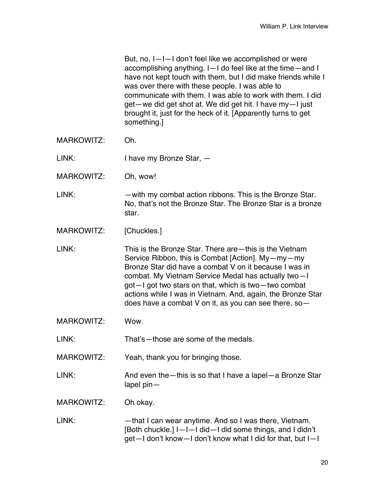But, no, I—I—I don't feel like we accomplished or were accomplishing anything. I—I do feel like at the time—and I have not kept touch with them, but I did make friends while I was over there with these people. I was able to communicate with them. I was able to work with them. I did get—we did get shot at. We did get hit. I have my—I just brought it, just for the heck of it. [Apparently turns to get something.]

MARKOWITZ: Oh.

LINK: I have my Bronze Star,  $-$ 

MARKOWITZ: Oh, wow!

LINK: — — with my combat action ribbons. This is the Bronze Star. No, that's not the Bronze Star. The Bronze Star is a bronze star.

MARKOWITZ: [Chuckles.]

LINK: This is the Bronze Star. There are—this is the Vietnam Service Ribbon, this is Combat [Action]. My—my—my Bronze Star did have a combat V on it because I was in combat. My Vietnam Service Medal has actually two—I got—I got two stars on that, which is two—two combat actions while I was in Vietnam. And, again, the Bronze Star does have a combat V on it, as you can see there, so—

MARKOWITZ: Wow.

LINK: That's—those are some of the medals.

MARKOWITZ: Yeah, thank you for bringing those.

LINK: And even the—this is so that I have a lapel—a Bronze Star lapel pin—

MARKOWITZ: Oh okay.

LINK: — — that I can wear anytime. And so I was there, Vietnam. [Both chuckle.] I—I—I did—I did some things, and I didn't get—I don't know—I don't know what I did for that, but I—I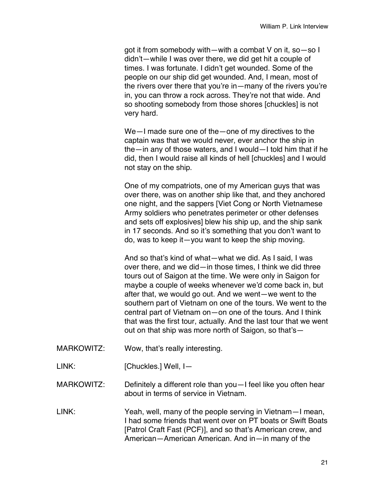got it from somebody with—with a combat V on it, so—so I didn't—while I was over there, we did get hit a couple of times. I was fortunate. I didn't get wounded. Some of the people on our ship did get wounded. And, I mean, most of the rivers over there that you're in—many of the rivers you're in, you can throw a rock across. They're not that wide. And so shooting somebody from those shores [chuckles] is not very hard.

We—I made sure one of the—one of my directives to the captain was that we would never, ever anchor the ship in the—in any of those waters, and I would—I told him that if he did, then I would raise all kinds of hell [chuckles] and I would not stay on the ship.

One of my compatriots, one of my American guys that was over there, was on another ship like that, and they anchored one night, and the sappers [Viet Cong or North Vietnamese Army soldiers who penetrates perimeter or other defenses and sets off explosives] blew his ship up, and the ship sank in 17 seconds. And so it's something that you don't want to do, was to keep it—you want to keep the ship moving.

And so that's kind of what—what we did. As I said, I was over there, and we did—in those times, I think we did three tours out of Saigon at the time. We were only in Saigon for maybe a couple of weeks whenever we'd come back in, but after that, we would go out. And we went—we went to the southern part of Vietnam on one of the tours. We went to the central part of Vietnam on—on one of the tours. And I think that was the first tour, actually. And the last tour that we went out on that ship was more north of Saigon, so that's—

- MARKOWITZ: Wow, that's really interesting.
- LINK: [Chuckles.] Well, I-

MARKOWITZ: Definitely a different role than you—I feel like you often hear about in terms of service in Vietnam.

LINK: Yeah, well, many of the people serving in Vietnam—I mean, I had some friends that went over on PT boats or Swift Boats [Patrol Craft Fast (PCF)], and so that's American crew, and American—American American. And in—in many of the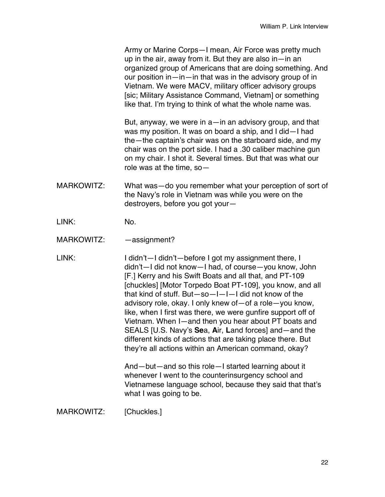Army or Marine Corps—I mean, Air Force was pretty much up in the air, away from it. But they are also in—in an organized group of Americans that are doing something. And our position in—in—in that was in the advisory group of in Vietnam. We were MACV, military officer advisory groups [sic; Military Assistance Command, Vietnam] or something like that. I'm trying to think of what the whole name was.

But, anyway, we were in a—in an advisory group, and that was my position. It was on board a ship, and I did—I had the—the captain's chair was on the starboard side, and my chair was on the port side. I had a .30 caliber machine gun on my chair. I shot it. Several times. But that was what our role was at the time, so—

- MARKOWITZ: What was—do you remember what your perception of sort of the Navy's role in Vietnam was while you were on the destroyers, before you got your—
- LINK: No.
- MARKOWITZ: —assignment?

LINK: I didn't—I didn't—before I got my assignment there, I didn't—I did not know—I had, of course—you know, John [F.] Kerry and his Swift Boats and all that, and PT-109 [chuckles] [Motor Torpedo Boat PT-109], you know, and all that kind of stuff. But—so—I—I—I did not know of the advisory role, okay. I only knew of—of a role—you know, like, when I first was there, we were gunfire support off of Vietnam. When I—and then you hear about PT boats and SEALS [U.S. Navy's **Se**a, **A**ir, **L**and forces] and—and the different kinds of actions that are taking place there. But they're all actions within an American command, okay?

> And—but—and so this role—I started learning about it whenever I went to the counterinsurgency school and Vietnamese language school, because they said that that's what I was going to be.

MARKOWITZ: [Chuckles.]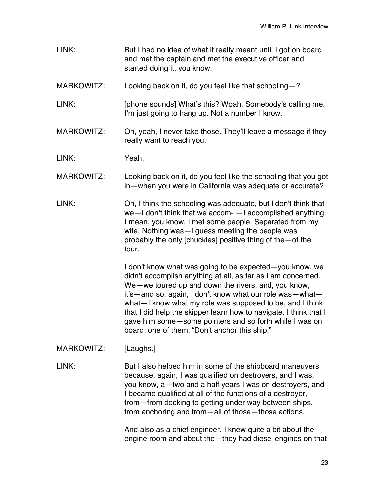LINK: But I had no idea of what it really meant until I got on board and met the captain and met the executive officer and started doing it, you know. MARKOWITZ: Looking back on it, do you feel like that schooling-? LINK: [phone sounds] What's this? Woah. Somebody's calling me. I'm just going to hang up. Not a number I know. MARKOWITZ: Oh, yeah, I never take those. They'll leave a message if they really want to reach you. LINK: Yeah. MARKOWITZ: Looking back on it, do you feel like the schooling that you got in—when you were in California was adequate or accurate? LINK: Oh, I think the schooling was adequate, but I don't think that we—I don't think that we accom- —I accomplished anything. I mean, you know, I met some people. Separated from my wife. Nothing was—I guess meeting the people was probably the only [chuckles] positive thing of the—of the tour. I don't know what was going to be expected—you know, we didn't accomplish anything at all, as far as I am concerned. We—we toured up and down the rivers, and, you know, it's—and so, again, I don't know what our role was—what what—I know what my role was supposed to be, and I think that I did help the skipper learn how to navigate. I think that I gave him some—some pointers and so forth while I was on board: one of them, "Don't anchor this ship." MARKOWITZ: [Laughs.] LINK: But I also helped him in some of the shipboard maneuvers because, again, I was qualified on destroyers, and I was, you know, a—two and a half years I was on destroyers, and I became qualified at all of the functions of a destroyer, from—from docking to getting under way between ships, from anchoring and from—all of those—those actions. And also as a chief engineer, I knew quite a bit about the engine room and about the—they had diesel engines on that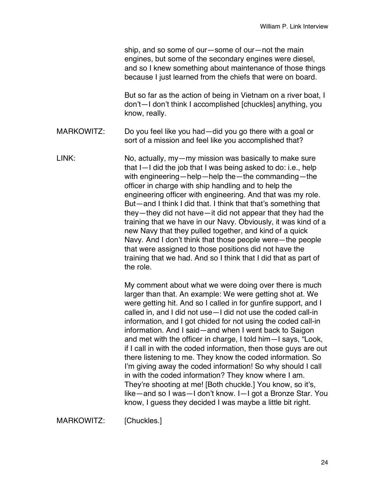ship, and so some of our—some of our—not the main engines, but some of the secondary engines were diesel, and so I knew something about maintenance of those things because I just learned from the chiefs that were on board.

But so far as the action of being in Vietnam on a river boat, I don't—I don't think I accomplished [chuckles] anything, you know, really.

MARKOWITZ: Do you feel like you had—did you go there with a goal or sort of a mission and feel like you accomplished that?

LINK: No, actually, my—my mission was basically to make sure that I—I did the job that I was being asked to do: i.e., help with engineering—help—help the—the commanding—the officer in charge with ship handling and to help the engineering officer with engineering. And that was my role. But—and I think I did that. I think that that's something that they—they did not have—it did not appear that they had the training that we have in our Navy. Obviously, it was kind of a new Navy that they pulled together, and kind of a quick Navy. And I don't think that those people were—the people that were assigned to those positions did not have the training that we had. And so I think that I did that as part of the role.

> My comment about what we were doing over there is much larger than that. An example: We were getting shot at. We were getting hit. And so I called in for gunfire support, and I called in, and I did not use—I did not use the coded call-in information, and I got chided for not using the coded call-in information. And I said—and when I went back to Saigon and met with the officer in charge, I told him—I says, "Look, if I call in with the coded information, then those guys are out there listening to me. They know the coded information. So I'm giving away the coded information! So why should I call in with the coded information? They know where I am. They're shooting at me! [Both chuckle.] You know, so it's, like—and so I was—I don't know. I—I got a Bronze Star. You know, I guess they decided I was maybe a little bit right.

MARKOWITZ: [Chuckles.]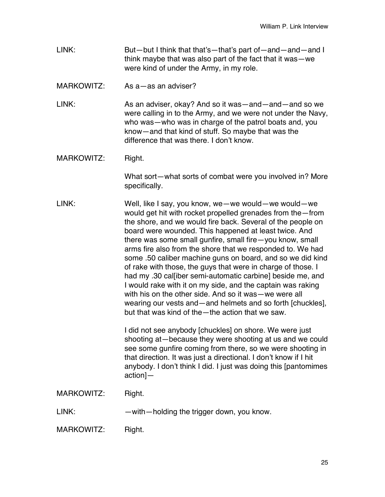LINK: But—but I think that that's—that's part of—and—and—and I think maybe that was also part of the fact that it was—we were kind of under the Army, in my role.

MARKOWITZ: As a — as an adviser?

LINK: As an adviser, okay? And so it was—and—and—and so we were calling in to the Army, and we were not under the Navy, who was—who was in charge of the patrol boats and, you know—and that kind of stuff. So maybe that was the difference that was there. I don't know.

MARKOWITZ: Right.

What sort—what sorts of combat were you involved in? More specifically.

LINK: Well, like I say, you know, we—we would—we would—we would get hit with rocket propelled grenades from the—from the shore, and we would fire back. Several of the people on board were wounded. This happened at least twice. And there was some small gunfire, small fire—you know, small arms fire also from the shore that we responded to. We had some .50 caliber machine guns on board, and so we did kind of rake with those, the guys that were in charge of those. I had my .30 calliber semi-automatic carbine] beside me, and I would rake with it on my side, and the captain was raking with his on the other side. And so it was—we were all wearing our vests and—and helmets and so forth [chuckles], but that was kind of the—the action that we saw.

> I did not see anybody [chuckles] on shore. We were just shooting at—because they were shooting at us and we could see some gunfire coming from there, so we were shooting in that direction. It was just a directional. I don't know if I hit anybody. I don't think I did. I just was doing this [pantomimes action]—

MARKOWITZ: Right.

LINK: — — with—holding the trigger down, you know.

MARKOWITZ: Right.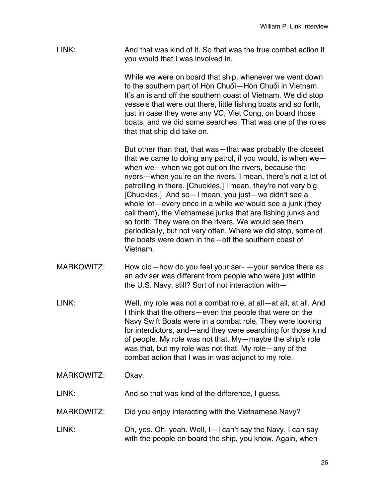LINK: And that was kind of it. So that was the true combat action if you would that I was involved in.

> While we were on board that ship, whenever we went down to the southern part of Hòn Chuối—Hòn Chuối in Vietnam. It's an island off the southern coast of Vietnam. We did stop vessels that were out there, little fishing boats and so forth, just in case they were any VC, Viet Cong, on board those boats, and we did some searches. That was one of the roles that that ship did take on.

> But other than that, that was—that was probably the closest that we came to doing any patrol, if you would, is when we when we—when we got out on the rivers, because the rivers—when you're on the rivers, I mean, there's not a lot of patrolling in there. [Chuckles.] I mean, they're not very big. [Chuckles.] And so—I mean, you just—we didn't see a whole lot—every once in a while we would see a junk (they call them), the Vietnamese junks that are fishing junks and so forth. They were on the rivers. We would see them periodically, but not very often. Where we did stop, some of the boats were down in the—off the southern coast of Vietnam.

- MARKOWITZ: How did—how do you feel your ser- —your service there as an adviser was different from people who were just within the U.S. Navy, still? Sort of not interaction with—
- LINK: Well, my role was not a combat role, at all—at all, at all. And I think that the others—even the people that were on the Navy Swift Boats were in a combat role. They were looking for interdictors, and—and they were searching for those kind of people. My role was not that. My—maybe the ship's role was that, but my role was not that. My role—any of the combat action that I was in was adjunct to my role.
- MARKOWITZ: Okay.

LINK: And so that was kind of the difference, I guess.

- MARKOWITZ: Did you enjoy interacting with the Vietnamese Navy?
- LINK: Oh, yes. Oh, yeah. Well, I—I can't say the Navy. I can say with the people on board the ship, you know. Again, when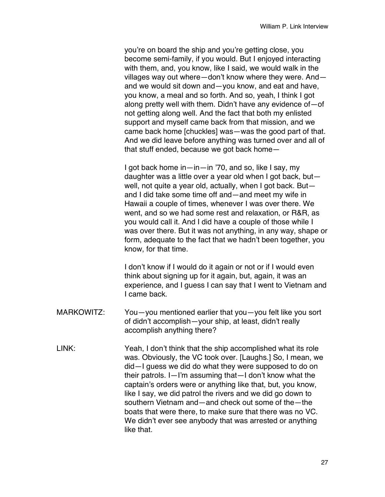you're on board the ship and you're getting close, you become semi-family, if you would. But I enjoyed interacting with them, and, you know, like I said, we would walk in the villages way out where—don't know where they were. And and we would sit down and—you know, and eat and have, you know, a meal and so forth. And so, yeah, I think I got along pretty well with them. Didn't have any evidence of—of not getting along well. And the fact that both my enlisted support and myself came back from that mission, and we came back home [chuckles] was—was the good part of that. And we did leave before anything was turned over and all of that stuff ended, because we got back home—

I got back home in—in—in '70, and so, like I say, my daughter was a little over a year old when I got back, but well, not quite a year old, actually, when I got back. But and I did take some time off and—and meet my wife in Hawaii a couple of times, whenever I was over there. We went, and so we had some rest and relaxation, or R&R, as you would call it. And I did have a couple of those while I was over there. But it was not anything, in any way, shape or form, adequate to the fact that we hadn't been together, you know, for that time.

I don't know if I would do it again or not or if I would even think about signing up for it again, but, again, it was an experience, and I guess I can say that I went to Vietnam and I came back.

- MARKOWITZ: You—you mentioned earlier that you—you felt like you sort of didn't accomplish—your ship, at least, didn't really accomplish anything there?
- LINK: Yeah, I don't think that the ship accomplished what its role was. Obviously, the VC took over. [Laughs.] So, I mean, we did—I guess we did do what they were supposed to do on their patrols. I—I'm assuming that—I don't know what the captain's orders were or anything like that, but, you know, like I say, we did patrol the rivers and we did go down to southern Vietnam and—and check out some of the—the boats that were there, to make sure that there was no VC. We didn't ever see anybody that was arrested or anything like that.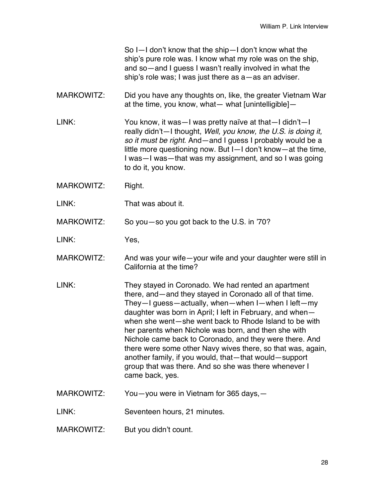So I—I don't know that the ship—I don't know what the ship's pure role was. I know what my role was on the ship, and so—and I guess I wasn't really involved in what the ship's role was; I was just there as a—as an adviser.

MARKOWITZ: Did you have any thoughts on, like, the greater Vietnam War at the time, you know, what— what  $[$ unintelligible $]-$ 

LINK: You know, it was—I was pretty naïve at that—I didn't—I really didn't—I thought, *Well, you know, the U.S. is doing it, so it must be right.* And—and I guess I probably would be a little more questioning now. But I—I don't know—at the time, I was—I was—that was my assignment, and so I was going to do it, you know.

- MARKOWITZ: Right.
- LINK: That was about it.

MARKOWITZ: So you—so you got back to the U.S. in '70?

LINK: Yes,

- MARKOWITZ: And was your wife—your wife and your daughter were still in California at the time?
- LINK: They stayed in Coronado. We had rented an apartment there, and—and they stayed in Coronado all of that time. They—I guess—actually, when—when I—when I left—my daughter was born in April; I left in February, and when when she went—she went back to Rhode Island to be with her parents when Nichole was born, and then she with Nichole came back to Coronado, and they were there. And there were some other Navy wives there, so that was, again, another family, if you would, that—that would—support group that was there. And so she was there whenever I came back, yes.
- MARKOWITZ: You—you were in Vietnam for 365 days,—

LINK: Seventeen hours, 21 minutes.

MARKOWITZ: But you didn't count.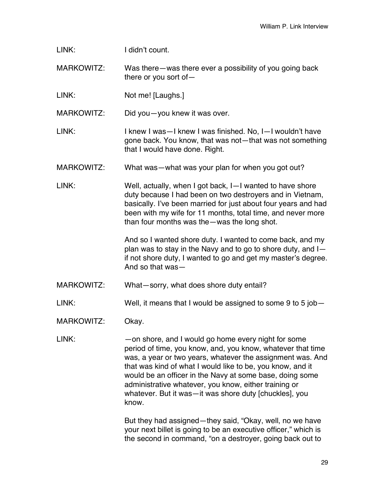| LINK: | I didn't count. |
|-------|-----------------|
|       |                 |

MARKOWITZ: Was there—was there ever a possibility of you going back there or you sort of—

LINK: Not me! [Laughs.]

MARKOWITZ: Did you—you knew it was over.

- LINK: I knew I was—I knew I was finished. No, I—I wouldn't have gone back. You know, that was not—that was not something that I would have done. Right.
- MARKOWITZ: What was—what was your plan for when you got out?
- LINK: Well, actually, when I got back, I—I wanted to have shore duty because I had been on two destroyers and in Vietnam, basically. I've been married for just about four years and had been with my wife for 11 months, total time, and never more than four months was the—was the long shot.

And so I wanted shore duty. I wanted to come back, and my plan was to stay in the Navy and to go to shore duty, and I if not shore duty, I wanted to go and get my master's degree. And so that was—

MARKOWITZ: What—sorry, what does shore duty entail?

LINK: Well, it means that I would be assigned to some 9 to 5 job—

MARKOWITZ: Okay.

LINK: — — — on shore, and I would go home every night for some period of time, you know, and, you know, whatever that time was, a year or two years, whatever the assignment was. And that was kind of what I would like to be, you know, and it would be an officer in the Navy at some base, doing some administrative whatever, you know, either training or whatever. But it was—it was shore duty [chuckles], you know.

> But they had assigned—they said, "Okay, well, no we have your next billet is going to be an executive officer," which is the second in command, "on a destroyer, going back out to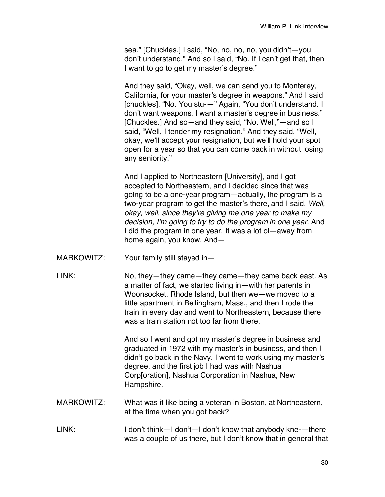sea." [Chuckles.] I said, "No, no, no, no, you didn't—you don't understand." And so I said, "No. If I can't get that, then I want to go to get my master's degree."

And they said, "Okay, well, we can send you to Monterey, California, for your master's degree in weapons." And I said [chuckles], "No. You stu-—" Again, "You don't understand. I don't want weapons. I want a master's degree in business." [Chuckles.] And so—and they said, "No. Well,"—and so I said, "Well, I tender my resignation." And they said, "Well, okay, we'll accept your resignation, but we'll hold your spot open for a year so that you can come back in without losing any seniority."

And I applied to Northeastern [University], and I got accepted to Northeastern, and I decided since that was going to be a one-year program—actually, the program is a two-year program to get the master's there, and I said, *Well, okay, well, since they're giving me one year to make my decision, I'm going to try to do the program in one year.* And I did the program in one year. It was a lot of—away from home again, you know. And—

- MARKOWITZ: Your family still stayed in—
- LINK: No, they—they came—they came—they came back east. As a matter of fact, we started living in—with her parents in Woonsocket, Rhode Island, but then we—we moved to a little apartment in Bellingham, Mass., and then I rode the train in every day and went to Northeastern, because there was a train station not too far from there.

And so I went and got my master's degree in business and graduated in 1972 with my master's in business, and then I didn't go back in the Navy. I went to work using my master's degree, and the first job I had was with Nashua Corp[oration], Nashua Corporation in Nashua, New Hampshire.

- MARKOWITZ: What was it like being a veteran in Boston, at Northeastern, at the time when you got back?
- LINK: I don't think—I don't—I don't know that anybody kne-—there was a couple of us there, but I don't know that in general that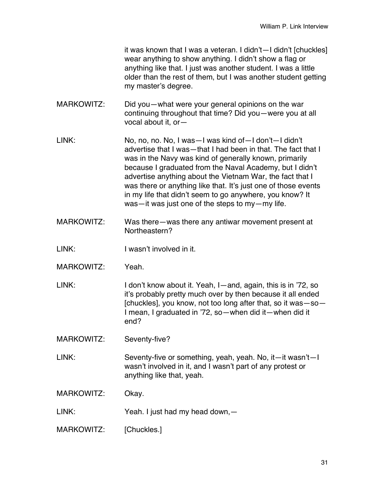it was known that I was a veteran. I didn't—I didn't [chuckles] wear anything to show anything. I didn't show a flag or anything like that. I just was another student. I was a little older than the rest of them, but I was another student getting my master's degree.

- MARKOWITZ: Did you—what were your general opinions on the war continuing throughout that time? Did you—were you at all vocal about it, or—
- LINK: No, no, no. No, I was—I was kind of—I don't—I didn't advertise that I was—that I had been in that. The fact that I was in the Navy was kind of generally known, primarily because I graduated from the Naval Academy, but I didn't advertise anything about the Vietnam War, the fact that I was there or anything like that. It's just one of those events in my life that didn't seem to go anywhere, you know? It was—it was just one of the steps to my—my life.
- MARKOWITZ: Was there—was there any antiwar movement present at Northeastern?
- LINK: I wasn't involved in it.
- MARKOWITZ: Yeah.

LINK: I don't know about it. Yeah, I—and, again, this is in '72, so it's probably pretty much over by then because it all ended [chuckles], you know, not too long after that, so it was—so— I mean, I graduated in '72, so—when did it—when did it end?

MARKOWITZ: Seventy-five?

LINK: Seventy-five or something, yeah, yeah. No, it—it wasn't—I wasn't involved in it, and I wasn't part of any protest or anything like that, yeah.

MARKOWITZ: Okay.

LINK: Yeah. I just had my head down, -

MARKOWITZ: [Chuckles.]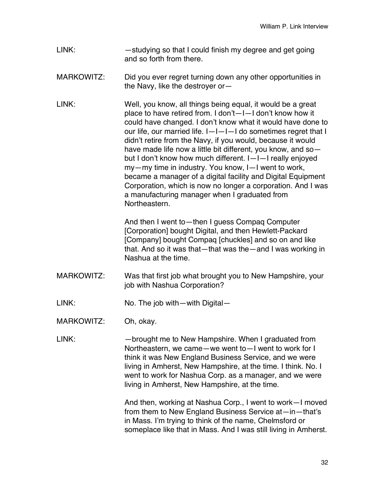- LINK: —studying so that I could finish my degree and get going and so forth from there.
- MARKOWITZ: Did you ever regret turning down any other opportunities in the Navy, like the destroyer or—
- LINK: Well, you know, all things being equal, it would be a great place to have retired from. I don't—I—I don't know how it could have changed. I don't know what it would have done to our life, our married life.  $I-I-I$  do sometimes regret that I didn't retire from the Navy, if you would, because it would have made life now a little bit different, you know, and so but I don't know how much different. I—I—I really enjoyed my—my time in industry. You know, I—I went to work, became a manager of a digital facility and Digital Equipment Corporation, which is now no longer a corporation. And I was a manufacturing manager when I graduated from Northeastern.

And then I went to—then I guess Compaq Computer [Corporation] bought Digital, and then Hewlett-Packard [Company] bought Compaq [chuckles] and so on and like that. And so it was that—that was the—and I was working in Nashua at the time.

- MARKOWITZ: Was that first job what brought you to New Hampshire, your job with Nashua Corporation?
- LINK: No. The job with—with Digital—

MARKOWITZ: Oh, okay.

LINK: —brought me to New Hampshire. When I graduated from Northeastern, we came—we went to—I went to work for I think it was New England Business Service, and we were living in Amherst, New Hampshire, at the time. I think. No. I went to work for Nashua Corp. as a manager, and we were living in Amherst, New Hampshire, at the time.

> And then, working at Nashua Corp., I went to work—I moved from them to New England Business Service at—in—that's in Mass. I'm trying to think of the name, Chelmsford or someplace like that in Mass. And I was still living in Amherst.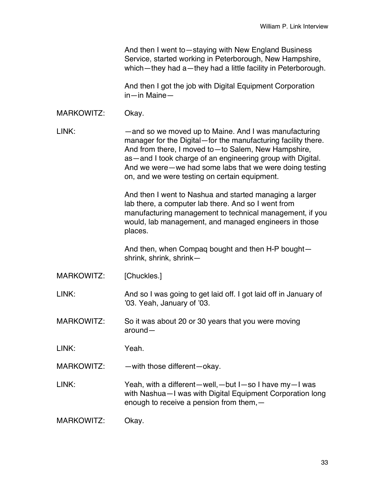And then I went to—staying with New England Business Service, started working in Peterborough, New Hampshire, which—they had a—they had a little facility in Peterborough.

And then I got the job with Digital Equipment Corporation in—in Maine—

MARKOWITZ: Okay.

LINK: —and so we moved up to Maine. And I was manufacturing manager for the Digital—for the manufacturing facility there. And from there, I moved to—to Salem, New Hampshire, as—and I took charge of an engineering group with Digital. And we were—we had some labs that we were doing testing on, and we were testing on certain equipment.

> And then I went to Nashua and started managing a larger lab there, a computer lab there. And so I went from manufacturing management to technical management, if you would, lab management, and managed engineers in those places.

And then, when Compaq bought and then H-P bought shrink, shrink, shrink—

MARKOWITZ: [Chuckles.]

LINK: And so I was going to get laid off. I got laid off in January of '03. Yeah, January of '03.

MARKOWITZ: So it was about 20 or 30 years that you were moving around—

LINK: Yeah.

MARKOWITZ: — — with those different—okay.

LINK: Yeah, with a different—well,—but I—so I have my—I was with Nashua—I was with Digital Equipment Corporation long enough to receive a pension from them,—

MARKOWITZ: Okay.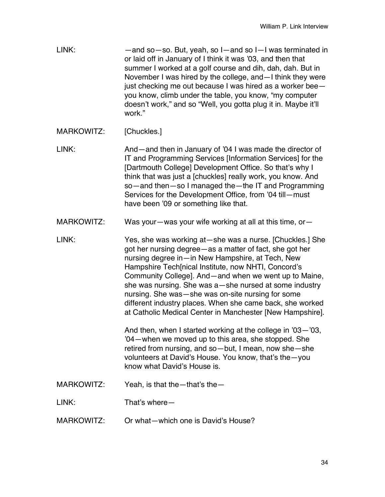| LINK: | -and so-so. But, yeah, so I-and so I-I was terminated in       |
|-------|----------------------------------------------------------------|
|       | or laid off in January of I think it was '03, and then that    |
|       | summer I worked at a golf course and dih, dah, dah. But in     |
|       | November I was hired by the college, and - I think they were   |
|       | just checking me out because I was hired as a worker bee-      |
|       | you know, climb under the table, you know, "my computer        |
|       | doesn't work," and so "Well, you gotta plug it in. Maybe it'll |
|       | work."                                                         |

MARKOWITZ: [Chuckles.]

LINK: And—and then in January of '04 I was made the director of IT and Programming Services [Information Services] for the [Dartmouth College] Development Office. So that's why I think that was just a [chuckles] really work, you know. And so—and then—so I managed the—the IT and Programming Services for the Development Office, from '04 till—must have been '09 or something like that.

- MARKOWITZ: Was your—was your wife working at all at this time, or—
- LINK: Yes, she was working at—she was a nurse. [Chuckles.] She got her nursing degree—as a matter of fact, she got her nursing degree in—in New Hampshire, at Tech, New Hampshire Tech[nical Institute, now NHTI, Concord's Community College]. And—and when we went up to Maine, she was nursing. She was a—she nursed at some industry nursing. She was—she was on-site nursing for some different industry places. When she came back, she worked at Catholic Medical Center in Manchester [New Hampshire].

And then, when I started working at the college in '03—'03, '04—when we moved up to this area, she stopped. She retired from nursing, and so—but, I mean, now she—she volunteers at David's House. You know, that's the—you know what David's House is.

MARKOWITZ: Yeah, is that the—that's the—

LINK: That's where—

MARKOWITZ: Or what—which one is David's House?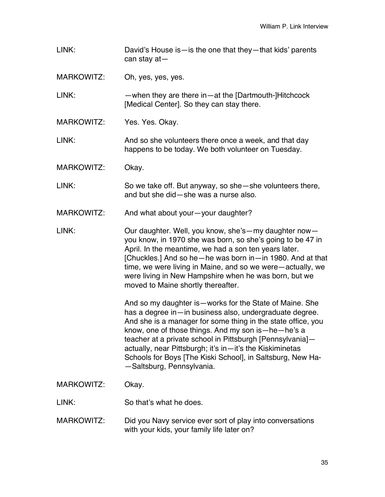LINK: David's House is—is the one that they—that kids' parents can stay at—

MARKOWITZ: Oh, yes, yes, yes.

LINK: —when they are there in—at the [Dartmouth-]Hitchcock [Medical Center]. So they can stay there.

MARKOWITZ: Yes. Yes. Okay.

LINK: And so she volunteers there once a week, and that day happens to be today. We both volunteer on Tuesday.

MARKOWITZ: Okay.

LINK: So we take off. But anyway, so she—she volunteers there, and but she did—she was a nurse also.

MARKOWITZ: And what about your—your daughter?

LINK: Our daughter. Well, you know, she's—my daughter now you know, in 1970 she was born, so she's going to be 47 in April. In the meantime, we had a son ten years later. [Chuckles.] And so he—he was born in—in 1980. And at that time, we were living in Maine, and so we were—actually, we were living in New Hampshire when he was born, but we moved to Maine shortly thereafter.

> And so my daughter is—works for the State of Maine. She has a degree in—in business also, undergraduate degree. And she is a manager for some thing in the state office, you know, one of those things. And my son is—he—he's a teacher at a private school in Pittsburgh [Pennsylvania] actually, near Pittsburgh; it's in—it's the Kiskiminetas Schools for Boys [The Kiski School], in Saltsburg, New Ha- —Saltsburg, Pennsylvania.

## MARKOWITZ: Okay.

LINK: So that's what he does.

MARKOWITZ: Did you Navy service ever sort of play into conversations with your kids, your family life later on?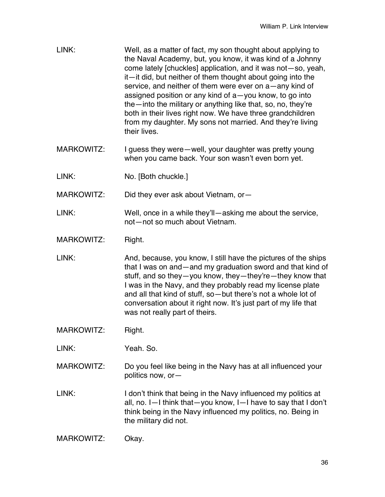| LINK: | Well, as a matter of fact, my son thought about applying to<br>the Naval Academy, but, you know, it was kind of a Johnny<br>come lately [chuckles] application, and it was not-so, yeah,<br>it—it did, but neither of them thought about going into the<br>service, and neither of them were ever on a—any kind of<br>assigned position or any kind of a-you know, to go into<br>the - into the military or anything like that, so, no, they're<br>both in their lives right now. We have three grandchildren<br>from my daughter. My sons not married. And they're living<br>their lives. |
|-------|--------------------------------------------------------------------------------------------------------------------------------------------------------------------------------------------------------------------------------------------------------------------------------------------------------------------------------------------------------------------------------------------------------------------------------------------------------------------------------------------------------------------------------------------------------------------------------------------|
|       |                                                                                                                                                                                                                                                                                                                                                                                                                                                                                                                                                                                            |

- MARKOWITZ: I guess they were—well, your daughter was pretty young when you came back. Your son wasn't even born yet.
- LINK: No. [Both chuckle.]

MARKOWITZ: Did they ever ask about Vietnam, or-

LINK: Well, once in a while they'll—asking me about the service, not—not so much about Vietnam.

MARKOWITZ: Right.

- LINK: And, because, you know, I still have the pictures of the ships that I was on and—and my graduation sword and that kind of stuff, and so they—you know, they—they're—they know that I was in the Navy, and they probably read my license plate and all that kind of stuff, so—but there's not a whole lot of conversation about it right now. It's just part of my life that was not really part of theirs.
- MARKOWITZ: Right.

LINK: Yeah. So.

- MARKOWITZ: Do you feel like being in the Navy has at all influenced your politics now, or—
- LINK: I don't think that being in the Navy influenced my politics at all, no. I—I think that—you know, I—I have to say that I don't think being in the Navy influenced my politics, no. Being in the military did not.

```
MARKOWITZ: Okay.
```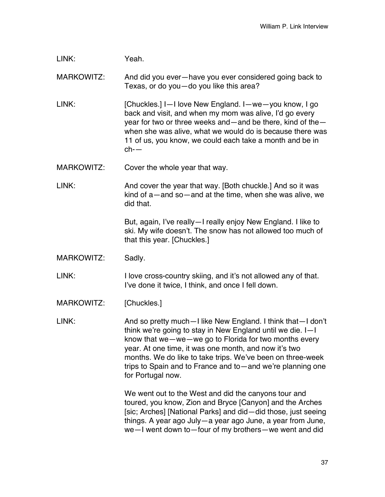| LINK: | Yeah. |
|-------|-------|
|       |       |

MARKOWITZ: And did you ever—have you ever considered going back to Texas, or do you—do you like this area?

LINK: [Chuckles.] I-I love New England. I-we-you know, I go back and visit, and when my mom was alive, I'd go every year for two or three weeks and—and be there, kind of the when she was alive, what we would do is because there was 11 of us, you know, we could each take a month and be in ch-—

MARKOWITZ: Cover the whole year that way.

LINK: And cover the year that way. [Both chuckle.] And so it was kind of a—and so—and at the time, when she was alive, we did that.

> But, again, I've really—I really enjoy New England. I like to ski. My wife doesn't. The snow has not allowed too much of that this year. [Chuckles.]

MARKOWITZ: Sadly.

LINK: I love cross-country skiing, and it's not allowed any of that. I've done it twice, I think, and once I fell down.

MARKOWITZ: [Chuckles.]

LINK: And so pretty much—I like New England. I think that—I don't think we're going to stay in New England until we die. I—I know that we—we—we go to Florida for two months every year. At one time, it was one month, and now it's two months. We do like to take trips. We've been on three-week trips to Spain and to France and to—and we're planning one for Portugal now.

> We went out to the West and did the canyons tour and toured, you know, Zion and Bryce [Canyon] and the Arches [sic; Arches] [National Parks] and did—did those, just seeing things. A year ago July—a year ago June, a year from June, we—I went down to—four of my brothers—we went and did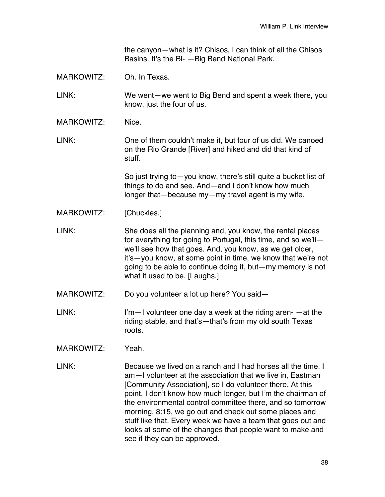the canyon—what is it? Chisos, I can think of all the Chisos Basins. It's the Bi- —Big Bend National Park.

MARKOWITZ: Oh. In Texas.

LINK: We went—we went to Big Bend and spent a week there, you know, just the four of us.

MARKOWITZ: Nice

LINK: One of them couldn't make it, but four of us did. We canoed on the Rio Grande [River] and hiked and did that kind of stuff.

> So just trying to—you know, there's still quite a bucket list of things to do and see. And—and I don't know how much longer that—because my—my travel agent is my wife.

MARKOWITZ: [Chuckles.]

LINK: She does all the planning and, you know, the rental places for everything for going to Portugal, this time, and so we'll we'll see how that goes. And, you know, as we get older, it's—you know, at some point in time, we know that we're not going to be able to continue doing it, but—my memory is not what it used to be. [Laughs.]

MARKOWITZ: Do you volunteer a lot up here? You said—

LINK: I'm—I volunteer one day a week at the riding aren- —at the riding stable, and that's—that's from my old south Texas roots.

MARKOWITZ: Yeah.

LINK: Because we lived on a ranch and I had horses all the time. I am—I volunteer at the association that we live in, Eastman [Community Association], so I do volunteer there. At this point, I don't know how much longer, but I'm the chairman of the environmental control committee there, and so tomorrow morning, 8:15, we go out and check out some places and stuff like that. Every week we have a team that goes out and looks at some of the changes that people want to make and see if they can be approved.